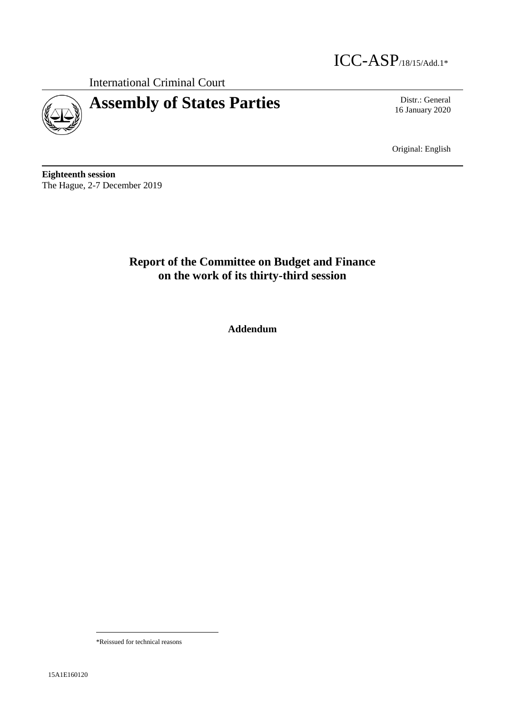

International Criminal Court

# **Assembly of States Parties** Distr.: General

16 January 2020

Original: English

**Eighteenth session** The Hague, 2-7 December 2019

# **Report of the Committee on Budget and Finance on the work of its thirty-third session**

**Addendum**

\*Reissued for technical reasons

 $\overline{a}$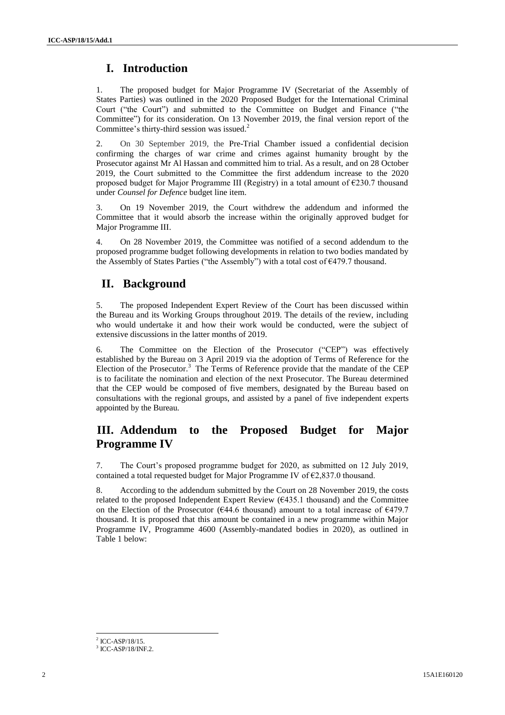## **I. Introduction**

1. The proposed budget for Major Programme IV (Secretariat of the Assembly of States Parties) was outlined in the 2020 Proposed Budget for the International Criminal Court ("the Court") and submitted to the Committee on Budget and Finance ("the Committee") for its consideration. On 13 November 2019, the final version report of the Committee's thirty-third session was issued.<sup>2</sup>

2. On 30 September 2019, the Pre-Trial Chamber issued a confidential decision confirming the charges of war crime and crimes against humanity brought by the Prosecutor against Mr Al Hassan and committed him to trial. As a result, and on 28 October 2019, the Court submitted to the Committee the first addendum increase to the 2020 proposed budget for Major Programme III (Registry) in a total amount of  $\epsilon$ 230.7 thousand under *Counsel for Defence* budget line item.

3. On 19 November 2019, the Court withdrew the addendum and informed the Committee that it would absorb the increase within the originally approved budget for Major Programme III.

4. On 28 November 2019, the Committee was notified of a second addendum to the proposed programme budget following developments in relation to two bodies mandated by the Assembly of States Parties ("the Assembly") with a total cost of €479.7 thousand.

### **II. Background**

5. The proposed Independent Expert Review of the Court has been discussed within the Bureau and its Working Groups throughout 2019. The details of the review, including who would undertake it and how their work would be conducted, were the subject of extensive discussions in the latter months of 2019.

6. The Committee on the Election of the Prosecutor ("CEP") was effectively established by the Bureau on 3 April 2019 via the adoption of Terms of Reference for the Election of the Prosecutor.<sup>3</sup> The Terms of Reference provide that the mandate of the CEP is to facilitate the nomination and election of the next Prosecutor. The Bureau determined that the CEP would be composed of five members, designated by the Bureau based on consultations with the regional groups, and assisted by a panel of five independent experts appointed by the Bureau.

### **III. Addendum to the Proposed Budget for Major Programme IV**

7. The Court's proposed programme budget for 2020, as submitted on 12 July 2019, contained a total requested budget for Major Programme IV of  $\epsilon$ 2,837.0 thousand.

8. According to the addendum submitted by the Court on 28 November 2019, the costs related to the proposed Independent Expert Review  $(€435.1)$  thousand) and the Committee on the Election of the Prosecutor ( $\epsilon$ 44.6 thousand) amount to a total increase of  $\epsilon$ 479.7 thousand. It is proposed that this amount be contained in a new programme within Major Programme IV, Programme 4600 (Assembly-mandated bodies in 2020), as outlined in Table 1 below:

l  $^{2}$  ICC-ASP/18/15.

<sup>3</sup> ICC-ASP/18/INF.2.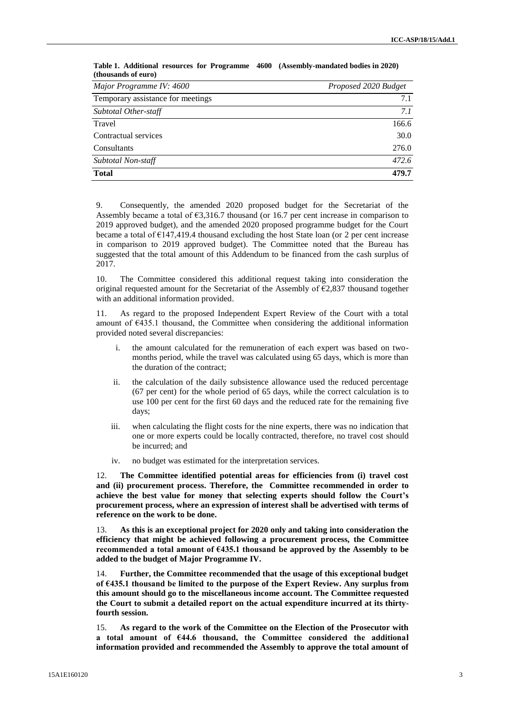| Major Programme IV: 4600          | Proposed 2020 Budget |
|-----------------------------------|----------------------|
| Temporary assistance for meetings | 7.1                  |
| Subtotal Other-staff              | 7.1                  |
| Travel                            | 166.6                |
| Contractual services              | 30.0                 |
| Consultants                       | 276.0                |
| Subtotal Non-staff                | 472.6                |
| <b>Total</b>                      | 479.7                |

**Table 1. Additional resources for Programme 4600 (Assembly-mandated bodies in 2020) (thousands of euro)**

9. Consequently, the amended 2020 proposed budget for the Secretariat of the Assembly became a total of  $\epsilon$ 3,316.7 thousand (or 16.7 per cent increase in comparison to 2019 approved budget), and the amended 2020 proposed programme budget for the Court became a total of  $E147,419.4$  thousand excluding the host State loan (or 2 per cent increase in comparison to 2019 approved budget). The Committee noted that the Bureau has suggested that the total amount of this Addendum to be financed from the cash surplus of 2017.

10. The Committee considered this additional request taking into consideration the original requested amount for the Secretariat of the Assembly of  $E2,837$  thousand together with an additional information provided.

11. As regard to the proposed Independent Expert Review of the Court with a total amount of €435.1 thousand, the Committee when considering the additional information provided noted several discrepancies:

- i. the amount calculated for the remuneration of each expert was based on twomonths period, while the travel was calculated using 65 days, which is more than the duration of the contract;
- ii. the calculation of the daily subsistence allowance used the reduced percentage (67 per cent) for the whole period of 65 days, while the correct calculation is to use 100 per cent for the first 60 days and the reduced rate for the remaining five days;
- iii. when calculating the flight costs for the nine experts, there was no indication that one or more experts could be locally contracted, therefore, no travel cost should be incurred; and
- iv. no budget was estimated for the interpretation services.

12. **The Committee identified potential areas for efficiencies from (i) travel cost and (ii) procurement process. Therefore, the Committee recommended in order to achieve the best value for money that selecting experts should follow the Court's procurement process, where an expression of interest shall be advertised with terms of reference on the work to be done.** 

13. **As this is an exceptional project for 2020 only and taking into consideration the efficiency that might be achieved following a procurement process, the Committee recommended a total amount of €435.1 thousand be approved by the Assembly to be added to the budget of Major Programme IV.**

14. **Further, the Committee recommended that the usage of this exceptional budget of €435.1 thousand be limited to the purpose of the Expert Review. Any surplus from this amount should go to the miscellaneous income account. The Committee requested the Court to submit a detailed report on the actual expenditure incurred at its thirtyfourth session.**

15. **As regard to the work of the Committee on the Election of the Prosecutor with a total amount of €44.6 thousand, the Committee considered the additional information provided and recommended the Assembly to approve the total amount of**